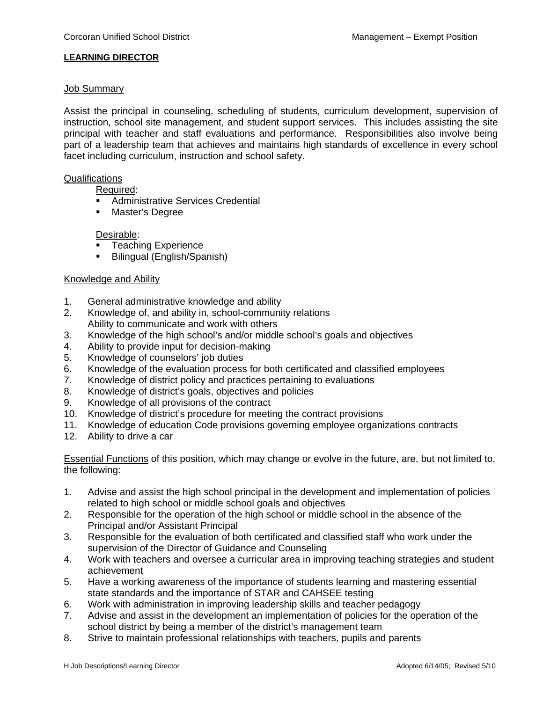## **LEARNING DIRECTOR**

### Job Summary

Assist the principal in counseling, scheduling of students, curriculum development, supervision of instruction, school site management, and student support services. This includes assisting the site principal with teacher and staff evaluations and performance. Responsibilities also involve being part of a leadership team that achieves and maintains high standards of excellence in every school facet including curriculum, instruction and school safety.

### Qualifications

Required:

- **Administrative Services Credential**
- **•** Master's Degree

# Desirable:

- **Teaching Experience**
- **Bilingual (English/Spanish)**

### Knowledge and Ability

- 1. General administrative knowledge and ability
- 2. Knowledge of, and ability in, school-community relations Ability to communicate and work with others
- 3. Knowledge of the high school's and/or middle school's goals and objectives
- 4. Ability to provide input for decision-making
- 5. Knowledge of counselors' job duties
- 6. Knowledge of the evaluation process for both certificated and classified employees
- 7. Knowledge of district policy and practices pertaining to evaluations
- 8. Knowledge of district's goals, objectives and policies
- 9. Knowledge of all provisions of the contract
- 10. Knowledge of district's procedure for meeting the contract provisions
- 11. Knowledge of education Code provisions governing employee organizations contracts
- 12. Ability to drive a car

Essential Functions of this position, which may change or evolve in the future, are, but not limited to, the following:

- 1. Advise and assist the high school principal in the development and implementation of policies related to high school or middle school goals and objectives
- 2. Responsible for the operation of the high school or middle school in the absence of the Principal and/or Assistant Principal
- 3. Responsible for the evaluation of both certificated and classified staff who work under the supervision of the Director of Guidance and Counseling
- 4. Work with teachers and oversee a curricular area in improving teaching strategies and student achievement
- 5. Have a working awareness of the importance of students learning and mastering essential state standards and the importance of STAR and CAHSEE testing
- 6. Work with administration in improving leadership skills and teacher pedagogy
- 7. Advise and assist in the development an implementation of policies for the operation of the school district by being a member of the district's management team
- 8. Strive to maintain professional relationships with teachers, pupils and parents